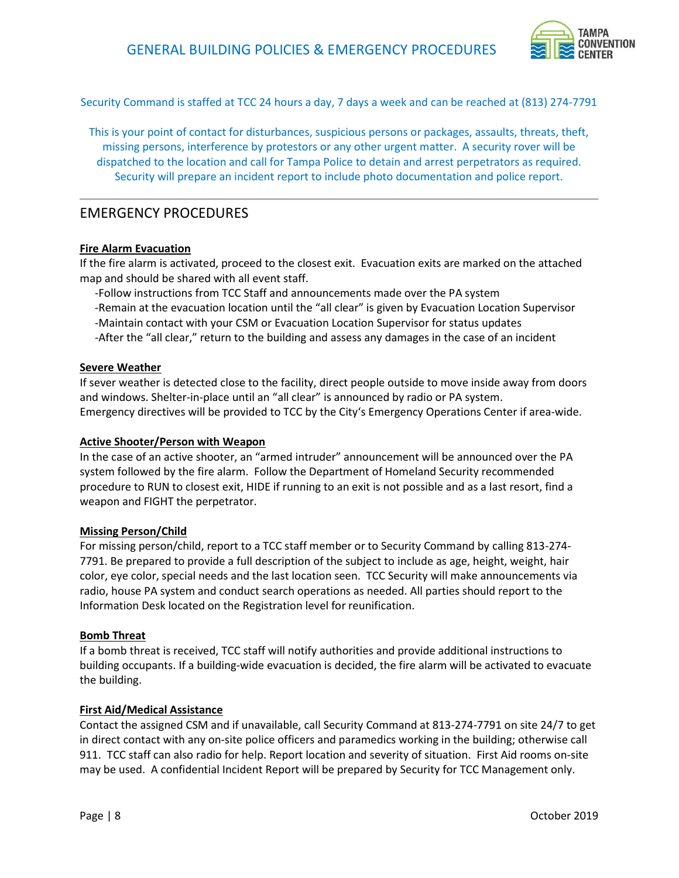

Security Command is staffed at TCC 24 hours a day, 7 days a week and can be reached at (813) 274-7791

 This is your point of contact for disturbances, suspicious persons or packages, assaults, threats, theft, missing persons, interference by protestors or any other urgent matter. A security rover will be dispatched to the location and call for Tampa Police to detain and arrest perpetrators as required. Security will prepare an incident report to include photo documentation and police report.

# EMERGENCY PROCEDURES

### Fire Alarm Evacuation

 If the fire alarm is activated, proceed to the closest exit. Evacuation exits are marked on the attached map and should be shared with all event staff.

-Follow instructions from TCC Staff and announcements made over the PA system

-Remain at the evacuation location until the "all clear" is given by Evacuation Location Supervisor

-Maintain contact with your CSM or Evacuation Location Supervisor for status updates

-After the "all clear," return to the building and assess any damages in the case of an incident

#### Severe Weather

 If sever weather is detected close to the facility, direct people outside to move inside away from doors and windows. Shelter-in-place until an "all clear" is announced by radio or PA system. Emergency directives will be provided to TCC by the City's Emergency Operations Center if area-wide.

### Active Shooter/Person with Weapon

 In the case of an active shooter, an "armed intruder" announcement will be announced over the PA system followed by the fire alarm. Follow the Department of Homeland Security recommended procedure to RUN to closest exit, HIDE if running to an exit is not possible and as a last resort, find a weapon and FIGHT the perpetrator.

### Missing Person/Child

 For missing person/child, report to a TCC staff member or to Security Command by calling 813-274- 7791. Be prepared to provide a full description of the subject to include as age, height, weight, hair color, eye color, special needs and the last location seen. TCC Security will make announcements via radio, house PA system and conduct search operations as needed. All parties should report to the Information Desk located on the Registration level for reunification.

### **Bomb Threat**

 If a bomb threat is received, TCC staff will notify authorities and provide additional instructions to building occupants. If a building-wide evacuation is decided, the fire alarm will be activated to evacuate the building.

### First Aid/Medical Assistance

 Contact the assigned CSM and if unavailable, call Security Command at 813-274-7791 on site 24/7 to get in direct contact with any on-site police officers and paramedics working in the building; otherwise call 911. TCC staff can also radio for help. Report location and severity of situation. First Aid rooms on-site may be used. A confidential Incident Report will be prepared by Security for TCC Management only.